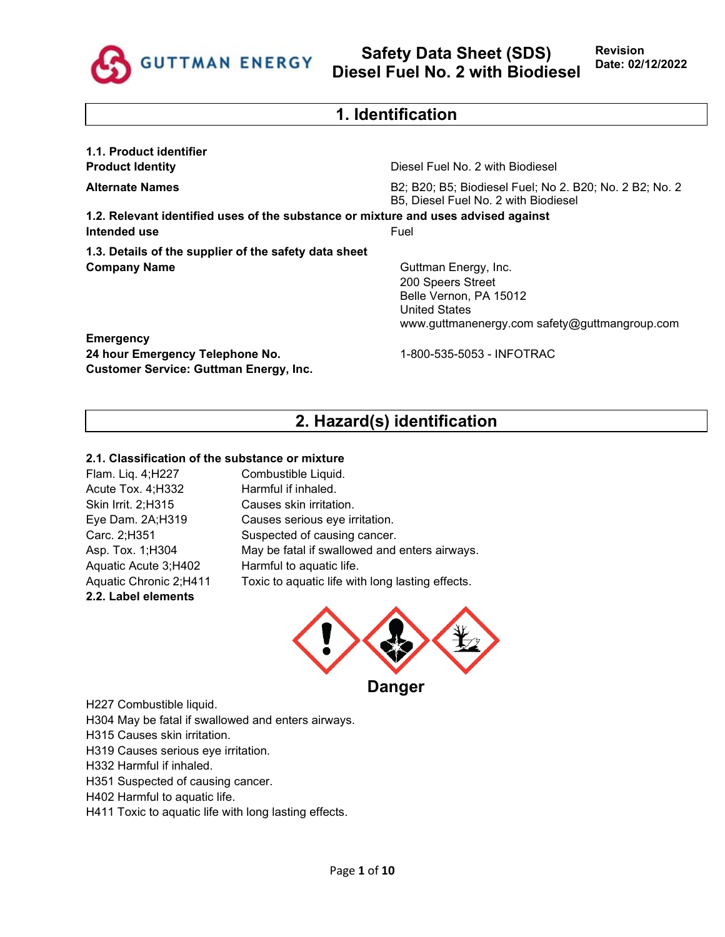

# **1. Identification**

**1.1. Product identifier**

**Product Identity Diesel Fuel No. 2 with Biodiesel** 

**Alternate Names** B2; B20; B5; Biodiesel Fuel; No 2. B20; No. 2 B2; No. 2 B5, Diesel Fuel No. 2 with Biodiesel

**1.2. Relevant identified uses of the substance or mixture and uses advised against Intended use** Fuel

**1.3. Details of the supplier of the safety data sheet Company Name** Guttman Energy, Inc.

200 Speers Street Belle Vernon, PA 15012 United States www.guttmanenergy.com safety@guttmangroup.com

**Emergency 24 hour Emergency Telephone No.** 1-800-535-5053 - INFOTRAC **Customer Service: Guttman Energy, Inc.**

# **2. Hazard(s) identification**

### **2.1. Classification of the substance or mixture**

Flam. Liq. 4;H227 Combustible Liquid. Acute Tox. 4; H332 Harmful if inhaled. Skin Irrit. 2;H315 Causes skin irritation. Aquatic Acute 3;H402 Harmful to aquatic life. **2.2. Label elements**

Eye Dam. 2A;H319 Causes serious eye irritation. Carc. 2;H351 Suspected of causing cancer. Asp. Tox. 1;H304 May be fatal if swallowed and enters airways. Aquatic Chronic 2;H411 Toxic to aquatic life with long lasting effects.



H227 Combustible liquid.

- H304 May be fatal if swallowed and enters airways.
- H315 Causes skin irritation.
- H319 Causes serious eye irritation.
- H332 Harmful if inhaled.
- H351 Suspected of causing cancer.
- H402 Harmful to aquatic life.
- H411 Toxic to aquatic life with long lasting effects.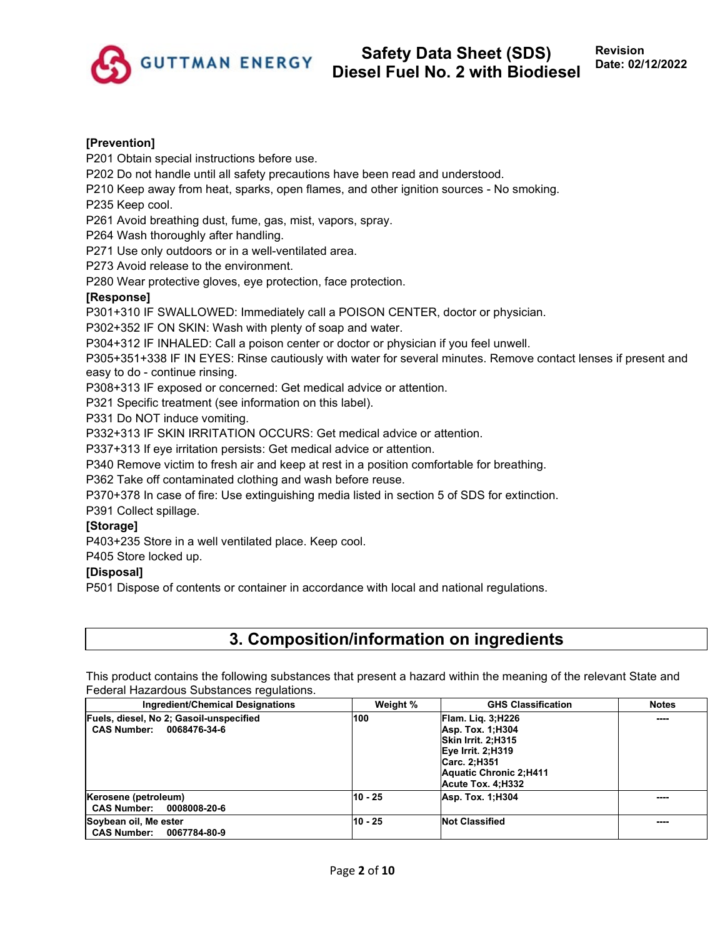

### **[Prevention]**

P201 Obtain special instructions before use.

P202 Do not handle until all safety precautions have been read and understood.

P210 Keep away from heat, sparks, open flames, and other ignition sources - No smoking.

P235 Keep cool.

P261 Avoid breathing dust, fume, gas, mist, vapors, spray.

P264 Wash thoroughly after handling.

P271 Use only outdoors or in a well-ventilated area.

P273 Avoid release to the environment.

P280 Wear protective gloves, eye protection, face protection.

### **[Response]**

P301+310 IF SWALLOWED: Immediately call a POISON CENTER, doctor or physician.

P302+352 IF ON SKIN: Wash with plenty of soap and water.

P304+312 IF INHALED: Call a poison center or doctor or physician if you feel unwell.

P305+351+338 IF IN EYES: Rinse cautiously with water for several minutes. Remove contact lenses if present and easy to do - continue rinsing.

P308+313 IF exposed or concerned: Get medical advice or attention.

P321 Specific treatment (see information on this label).

P331 Do NOT induce vomiting.

P332+313 IF SKIN IRRITATION OCCURS: Get medical advice or attention.

P337+313 If eye irritation persists: Get medical advice or attention.

P340 Remove victim to fresh air and keep at rest in a position comfortable for breathing.

P362 Take off contaminated clothing and wash before reuse.

P370+378 In case of fire: Use extinguishing media listed in section 5 of SDS for extinction.

P391 Collect spillage.

### **[Storage]**

P403+235 Store in a well ventilated place. Keep cool.

P405 Store locked up.

### **[Disposal]**

P501 Dispose of contents or container in accordance with local and national regulations.

# **3. Composition/information on ingredients**

This product contains the following substances that present a hazard within the meaning of the relevant State and Federal Hazardous Substances regulations.

| Ingredient/Chemical Designations                                              | Weight % | <b>GHS Classification</b>                                                                                                                                     | <b>Notes</b> |
|-------------------------------------------------------------------------------|----------|---------------------------------------------------------------------------------------------------------------------------------------------------------------|--------------|
| Fuels, diesel, No 2; Gasoil-unspecified<br><b>CAS Number:</b><br>0068476-34-6 | 100      | <b>Flam. Lig. 3:H226</b><br><b>Asp. Tox. 1:H304</b><br>Skin Irrit. 2:H315<br>Eye Irrit. 2;H319<br>Carc. 2;H351<br>Aquatic Chronic 2:H411<br>Acute Tox. 4:H332 | ----         |
| Kerosene (petroleum)<br>CAS Number: 0008008-20-6                              | 10 - 25  | <b>Asp. Tox. 1:H304</b>                                                                                                                                       | ----         |
| Soybean oil, Me ester<br><b>CAS Number:</b><br>0067784-80-9                   | 10 - 25  | <b>Not Classified</b>                                                                                                                                         | ----         |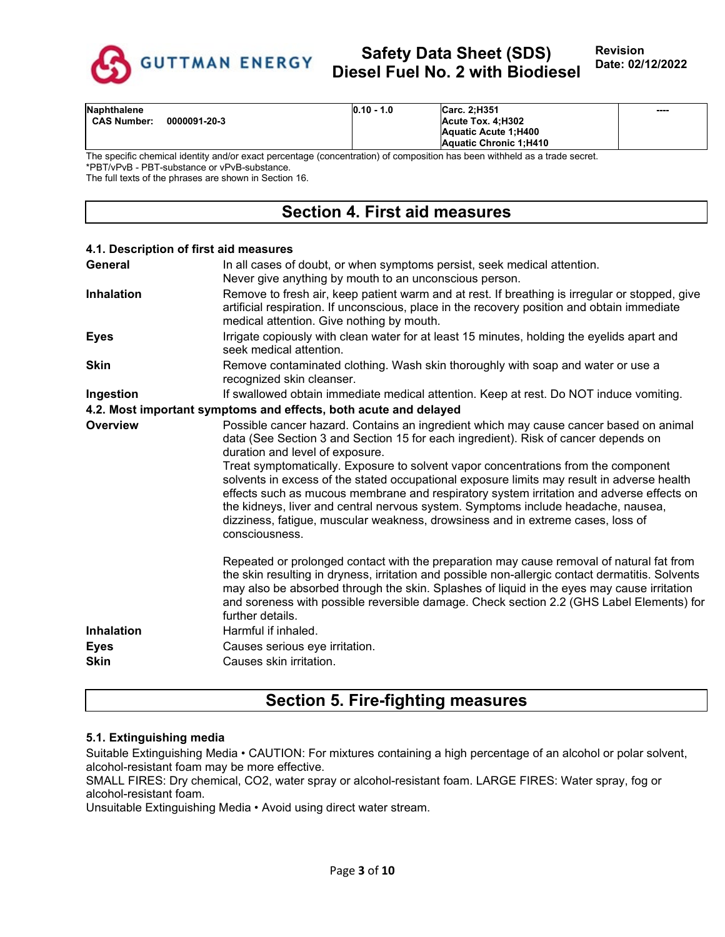

| <b>Naphthalene</b>                 | $0.10 - 1.0$ | Carc. 2:H351           | ---- |
|------------------------------------|--------------|------------------------|------|
| 0000091-20-3<br><b>CAS Number:</b> |              | Acute Tox. 4:H302      |      |
|                                    |              | Aquatic Acute 1:H400   |      |
|                                    |              | Aquatic Chronic 1:H410 |      |

The specific chemical identity and/or exact percentage (concentration) of composition has been withheld as a trade secret. \*PBT/vPvB - PBT-substance or vPvB-substance.

The full texts of the phrases are shown in Section 16.

### **Section 4. First aid measures**

#### **4.1. Description of first aid measures**

| General                                         | In all cases of doubt, or when symptoms persist, seek medical attention.<br>Never give anything by mouth to an unconscious person.                                                                                                                                                                                                                                                                                                                                                                                                                                                                                                                                                       |
|-------------------------------------------------|------------------------------------------------------------------------------------------------------------------------------------------------------------------------------------------------------------------------------------------------------------------------------------------------------------------------------------------------------------------------------------------------------------------------------------------------------------------------------------------------------------------------------------------------------------------------------------------------------------------------------------------------------------------------------------------|
| <b>Inhalation</b>                               | Remove to fresh air, keep patient warm and at rest. If breathing is irregular or stopped, give<br>artificial respiration. If unconscious, place in the recovery position and obtain immediate<br>medical attention. Give nothing by mouth.                                                                                                                                                                                                                                                                                                                                                                                                                                               |
| <b>Eyes</b>                                     | Irrigate copiously with clean water for at least 15 minutes, holding the eyelids apart and<br>seek medical attention.                                                                                                                                                                                                                                                                                                                                                                                                                                                                                                                                                                    |
| <b>Skin</b>                                     | Remove contaminated clothing. Wash skin thoroughly with soap and water or use a<br>recognized skin cleanser.                                                                                                                                                                                                                                                                                                                                                                                                                                                                                                                                                                             |
| Ingestion                                       | If swallowed obtain immediate medical attention. Keep at rest. Do NOT induce vomiting.                                                                                                                                                                                                                                                                                                                                                                                                                                                                                                                                                                                                   |
|                                                 | 4.2. Most important symptoms and effects, both acute and delayed                                                                                                                                                                                                                                                                                                                                                                                                                                                                                                                                                                                                                         |
| <b>Overview</b>                                 | Possible cancer hazard. Contains an ingredient which may cause cancer based on animal<br>data (See Section 3 and Section 15 for each ingredient). Risk of cancer depends on<br>duration and level of exposure.<br>Treat symptomatically. Exposure to solvent vapor concentrations from the component<br>solvents in excess of the stated occupational exposure limits may result in adverse health<br>effects such as mucous membrane and respiratory system irritation and adverse effects on<br>the kidneys, liver and central nervous system. Symptoms include headache, nausea,<br>dizziness, fatigue, muscular weakness, drowsiness and in extreme cases, loss of<br>consciousness. |
| <b>Inhalation</b><br><b>Eyes</b><br><b>Skin</b> | Repeated or prolonged contact with the preparation may cause removal of natural fat from<br>the skin resulting in dryness, irritation and possible non-allergic contact dermatitis. Solvents<br>may also be absorbed through the skin. Splashes of liquid in the eyes may cause irritation<br>and soreness with possible reversible damage. Check section 2.2 (GHS Label Elements) for<br>further details.<br>Harmful if inhaled.<br>Causes serious eye irritation.<br>Causes skin irritation.                                                                                                                                                                                           |

### **Section 5. Fire-fighting measures**

#### **5.1. Extinguishing media**

Suitable Extinguishing Media • CAUTION: For mixtures containing a high percentage of an alcohol or polar solvent, alcohol-resistant foam may be more effective.

SMALL FIRES: Dry chemical, CO2, water spray or alcohol-resistant foam. LARGE FIRES: Water spray, fog or alcohol-resistant foam.

Unsuitable Extinguishing Media • Avoid using direct water stream.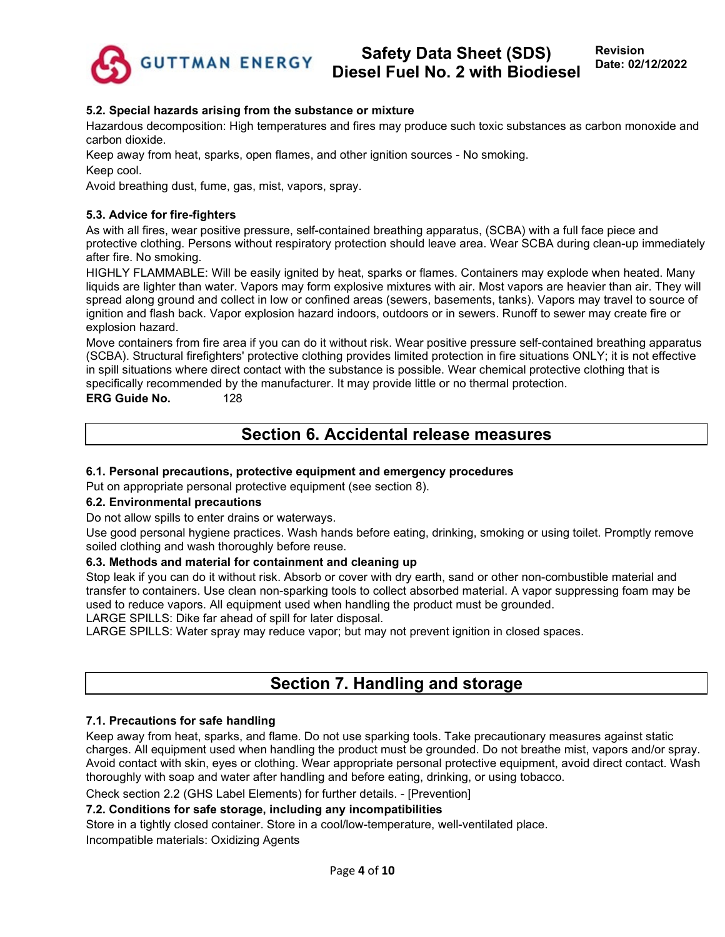

**Revision Date: 02/12/2022**

### **5.2. Special hazards arising from the substance or mixture**

Hazardous decomposition: High temperatures and fires may produce such toxic substances as carbon monoxide and carbon dioxide.

Keep away from heat, sparks, open flames, and other ignition sources - No smoking.

Keep cool.

Avoid breathing dust, fume, gas, mist, vapors, spray.

### **5.3. Advice for fire-fighters**

As with all fires, wear positive pressure, self-contained breathing apparatus, (SCBA) with a full face piece and protective clothing. Persons without respiratory protection should leave area. Wear SCBA during clean-up immediately after fire. No smoking.

HIGHLY FLAMMABLE: Will be easily ignited by heat, sparks or flames. Containers may explode when heated. Many liquids are lighter than water. Vapors may form explosive mixtures with air. Most vapors are heavier than air. They will spread along ground and collect in low or confined areas (sewers, basements, tanks). Vapors may travel to source of ignition and flash back. Vapor explosion hazard indoors, outdoors or in sewers. Runoff to sewer may create fire or explosion hazard.

Move containers from fire area if you can do it without risk. Wear positive pressure self-contained breathing apparatus (SCBA). Structural firefighters' protective clothing provides limited protection in fire situations ONLY; it is not effective in spill situations where direct contact with the substance is possible. Wear chemical protective clothing that is specifically recommended by the manufacturer. It may provide little or no thermal protection.

**ERG Guide No.** 128

# **Section 6. Accidental release measures**

### **6.1. Personal precautions, protective equipment and emergency procedures**

Put on appropriate personal protective equipment (see section 8).

#### **6.2. Environmental precautions**

Do not allow spills to enter drains or waterways.

Use good personal hygiene practices. Wash hands before eating, drinking, smoking or using toilet. Promptly remove soiled clothing and wash thoroughly before reuse.

#### **6.3. Methods and material for containment and cleaning up**

Stop leak if you can do it without risk. Absorb or cover with dry earth, sand or other non-combustible material and transfer to containers. Use clean non-sparking tools to collect absorbed material. A vapor suppressing foam may be used to reduce vapors. All equipment used when handling the product must be grounded.

LARGE SPILLS: Dike far ahead of spill for later disposal.

LARGE SPILLS: Water spray may reduce vapor; but may not prevent ignition in closed spaces.

### **Section 7. Handling and storage**

#### **7.1. Precautions for safe handling**

Keep away from heat, sparks, and flame. Do not use sparking tools. Take precautionary measures against static charges. All equipment used when handling the product must be grounded. Do not breathe mist, vapors and/or spray. Avoid contact with skin, eyes or clothing. Wear appropriate personal protective equipment, avoid direct contact. Wash thoroughly with soap and water after handling and before eating, drinking, or using tobacco.

Check section 2.2 (GHS Label Elements) for further details. - [Prevention]

### **7.2. Conditions for safe storage, including any incompatibilities**

Store in a tightly closed container. Store in a cool/low-temperature, well-ventilated place. Incompatible materials: Oxidizing Agents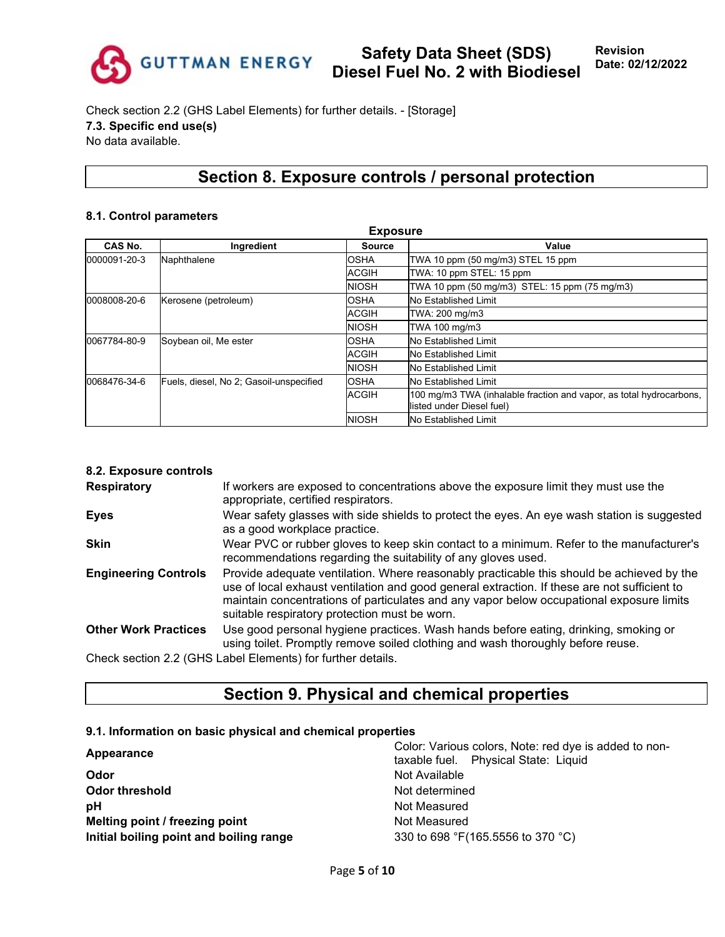

Check section 2.2 (GHS Label Elements) for further details. - [Storage] **7.3. Specific end use(s)** No data available.

# **Section 8. Exposure controls / personal protection**

#### **8.1. Control parameters**

| <b>Exposure</b> |                                         |               |                                                                                                  |  |
|-----------------|-----------------------------------------|---------------|--------------------------------------------------------------------------------------------------|--|
| CAS No.         | Ingredient                              | <b>Source</b> | Value                                                                                            |  |
| 0000091-20-3    | Naphthalene                             |               | TWA 10 ppm (50 mg/m3) STEL 15 ppm                                                                |  |
|                 |                                         | <b>ACGIH</b>  | TWA: 10 ppm STEL: 15 ppm                                                                         |  |
|                 |                                         | <b>NIOSH</b>  | TWA 10 ppm (50 mg/m3) STEL: 15 ppm (75 mg/m3)                                                    |  |
| 0008008-20-6    | Kerosene (petroleum)<br><b>OSHA</b>     |               | No Established Limit                                                                             |  |
|                 |                                         | <b>ACGIH</b>  | TWA: 200 mg/m3                                                                                   |  |
|                 |                                         | <b>NIOSH</b>  | TWA 100 mg/m3                                                                                    |  |
| 0067784-80-9    | Soybean oil, Me ester                   | <b>OSHA</b>   | <b>No Established Limit</b>                                                                      |  |
|                 |                                         | <b>ACGIH</b>  | <b>No Established Limit</b>                                                                      |  |
|                 |                                         | <b>NIOSH</b>  | <b>No Established Limit</b>                                                                      |  |
| 0068476-34-6    | Fuels, diesel, No 2; Gasoil-unspecified | <b>OSHA</b>   | <b>No Established Limit</b>                                                                      |  |
|                 |                                         | <b>ACGIH</b>  | 100 mg/m3 TWA (inhalable fraction and vapor, as total hydrocarbons,<br>listed under Diesel fuel) |  |
|                 |                                         | <b>NIOSH</b>  | No Established Limit                                                                             |  |

#### **8.2. Exposure controls**

| <b>Respiratory</b>          | If workers are exposed to concentrations above the exposure limit they must use the<br>appropriate, certified respirators.                                                                                                                                                                                                             |
|-----------------------------|----------------------------------------------------------------------------------------------------------------------------------------------------------------------------------------------------------------------------------------------------------------------------------------------------------------------------------------|
| <b>Eyes</b>                 | Wear safety glasses with side shields to protect the eyes. An eye wash station is suggested<br>as a good workplace practice.                                                                                                                                                                                                           |
| <b>Skin</b>                 | Wear PVC or rubber gloves to keep skin contact to a minimum. Refer to the manufacturer's<br>recommendations regarding the suitability of any gloves used.                                                                                                                                                                              |
| <b>Engineering Controls</b> | Provide adequate ventilation. Where reasonably practicable this should be achieved by the<br>use of local exhaust ventilation and good general extraction. If these are not sufficient to<br>maintain concentrations of particulates and any vapor below occupational exposure limits<br>suitable respiratory protection must be worn. |
| <b>Other Work Practices</b> | Use good personal hygiene practices. Wash hands before eating, drinking, smoking or<br>using toilet. Promptly remove soiled clothing and wash thoroughly before reuse.                                                                                                                                                                 |
|                             | Check section 2.2 (GHS Label Elements) for further details.                                                                                                                                                                                                                                                                            |

Check section 2.2 (GHS Label Elements) for further details.

# **Section 9. Physical and chemical properties**

### **9.1. Information on basic physical and chemical properties**

| Appearance                              | Color: Various colors, Note: red dye is added to non-<br>taxable fuel. Physical State: Liquid |  |  |
|-----------------------------------------|-----------------------------------------------------------------------------------------------|--|--|
| Odor                                    | Not Available                                                                                 |  |  |
| Odor threshold                          | Not determined                                                                                |  |  |
| рH                                      | Not Measured                                                                                  |  |  |
| Melting point / freezing point          | Not Measured                                                                                  |  |  |
| Initial boiling point and boiling range | 330 to 698 °F(165.5556 to 370 °C)                                                             |  |  |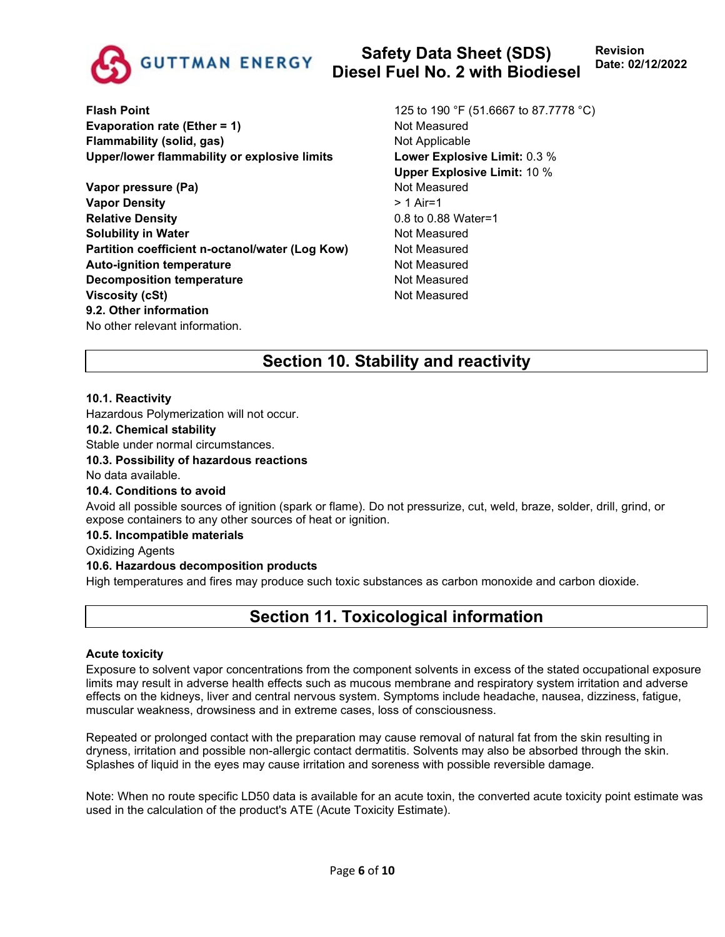

**Flash Point** 125 to 190 °F (51.6667 to 87.7778 °C) **Evaporation rate (Ether = 1)** Not Measured **Flammability (solid, gas)** Not Applicable **Upper/lower flammability or explosive limits Lower Explosive Limit:** 0.3 %

**Vapor pressure (Pa)** Not Measured **Vapor Density**  $> 1$  Air=1 **Relative Density CONSIDERED ASSESSED ASSESSED AT A RELATION OF A REPORT OF A RELATION OF A RELATION OF A RELATION Solubility in Water** Not Measured **Partition coefficient n-octanol/water (Log Kow)** Not Measured **Auto-ignition temperature** Not Measured **Decomposition temperature** Not Measured **Viscosity (cSt)** Not Measured **9.2. Other information** No other relevant information.

**Upper Explosive Limit:** 10 %

# **Section 10. Stability and reactivity**

### **10.1. Reactivity**

Hazardous Polymerization will not occur.

### **10.2. Chemical stability**

Stable under normal circumstances.

#### **10.3. Possibility of hazardous reactions**

No data available.

#### **10.4. Conditions to avoid**

Avoid all possible sources of ignition (spark or flame). Do not pressurize, cut, weld, braze, solder, drill, grind, or expose containers to any other sources of heat or ignition.

### **10.5. Incompatible materials**

Oxidizing Agents

#### **10.6. Hazardous decomposition products**

High temperatures and fires may produce such toxic substances as carbon monoxide and carbon dioxide.

### **Section 11. Toxicological information**

#### **Acute toxicity**

Exposure to solvent vapor concentrations from the component solvents in excess of the stated occupational exposure limits may result in adverse health effects such as mucous membrane and respiratory system irritation and adverse effects on the kidneys, liver and central nervous system. Symptoms include headache, nausea, dizziness, fatigue, muscular weakness, drowsiness and in extreme cases, loss of consciousness.

Repeated or prolonged contact with the preparation may cause removal of natural fat from the skin resulting in dryness, irritation and possible non-allergic contact dermatitis. Solvents may also be absorbed through the skin. Splashes of liquid in the eyes may cause irritation and soreness with possible reversible damage.

Note: When no route specific LD50 data is available for an acute toxin, the converted acute toxicity point estimate was used in the calculation of the product's ATE (Acute Toxicity Estimate).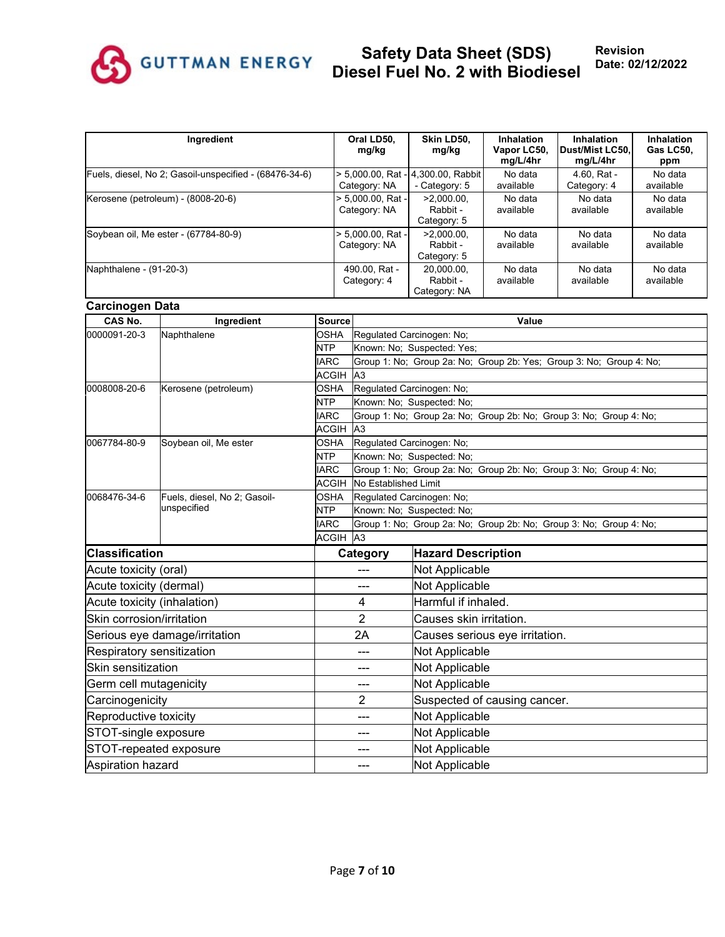

| Ingredient                                             | Oral LD50.<br>mg/kg                  | Skin LD50,<br>mg/kg                                 | <b>Inhalation</b><br>Vapor LC50,<br>mg/L/4hr | Inhalation<br>Dust/Mist LC50.<br>mg/L/4hr | Inhalation<br>Gas LC50.<br>ppm |
|--------------------------------------------------------|--------------------------------------|-----------------------------------------------------|----------------------------------------------|-------------------------------------------|--------------------------------|
| Fuels, diesel, No 2; Gasoil-unspecified - (68476-34-6) | Category: NA                         | > 5.000.00, Rat - 4.300.00, Rabbit<br>- Category: 5 | No data<br>available                         | 4.60, Rat -<br>Category: 4                | No data<br>available           |
| Kerosene (petroleum) - (8008-20-6)                     | $> 5.000.00$ . Rat -<br>Category: NA | $>2.000.00$ .<br>Rabbit -<br>Category: 5            | No data<br>available                         | No data<br>available                      | No data<br>available           |
| Soybean oil, Me ester - (67784-80-9)                   | > 5.000.00. Rat -<br>Category: NA    | $>2.000.00$ .<br>Rabbit -<br>Category: 5            | No data<br>available                         | No data<br>available                      | No data<br>available           |
| Naphthalene - (91-20-3)                                | 490.00. Rat -<br>Category: 4         | 20,000.00,<br>Rabbit -<br>Category: NA              | No data<br>available                         | No data<br>available                      | No data<br>available           |

#### **Carcinogen Data**

| —<br>CAS No.                | Ingredient                    | Source                    |                                                                    | Value                                                               |  |  |
|-----------------------------|-------------------------------|---------------------------|--------------------------------------------------------------------|---------------------------------------------------------------------|--|--|
| 0000091-20-3                | Naphthalene                   | <b>OSHA</b>               | Regulated Carcinogen: No;                                          |                                                                     |  |  |
|                             |                               |                           |                                                                    | Known: No; Suspected: Yes;                                          |  |  |
|                             |                               | <b>NTP</b><br><b>IARC</b> |                                                                    | Group 1: No; Group 2a: No; Group 2b: Yes; Group 3: No; Group 4: No; |  |  |
|                             |                               | <b>ACGIH</b>              | A3                                                                 |                                                                     |  |  |
| 0008008-20-6                | Kerosene (petroleum)          | <b>OSHA</b>               | Regulated Carcinogen: No;                                          |                                                                     |  |  |
|                             |                               | <b>NTP</b>                |                                                                    | Known: No; Suspected: No;                                           |  |  |
|                             |                               | <b>IARC</b>               |                                                                    | Group 1: No; Group 2a: No; Group 2b: No; Group 3: No; Group 4: No;  |  |  |
|                             |                               | ACGIH                     | A <sub>3</sub>                                                     |                                                                     |  |  |
| 0067784-80-9                | Soybean oil, Me ester         | <b>OSHA</b>               | Regulated Carcinogen: No;                                          |                                                                     |  |  |
|                             |                               | <b>NTP</b>                |                                                                    | Known: No; Suspected: No;                                           |  |  |
|                             |                               | <b>IARC</b>               |                                                                    | Group 1: No; Group 2a: No; Group 2b: No; Group 3: No; Group 4: No;  |  |  |
|                             |                               | <b>ACGIH</b>              | No Established Limit                                               |                                                                     |  |  |
| 0068476-34-6                | Fuels, diesel, No 2; Gasoil-  | <b>OSHA</b>               | Regulated Carcinogen: No;                                          |                                                                     |  |  |
|                             | unspecified                   | <b>NTP</b>                |                                                                    | Known: No: Suspected: No:                                           |  |  |
|                             |                               | <b>IARC</b>               | Group 1: No; Group 2a: No; Group 2b: No; Group 3: No; Group 4: No; |                                                                     |  |  |
|                             |                               | <b>ACGIH</b>              | A <sub>3</sub>                                                     |                                                                     |  |  |
| <b>Classification</b>       |                               |                           | Category                                                           | <b>Hazard Description</b>                                           |  |  |
| Acute toxicity (oral)       |                               |                           |                                                                    | Not Applicable                                                      |  |  |
| Acute toxicity (dermal)     |                               |                           |                                                                    | <b>Not Applicable</b>                                               |  |  |
| Acute toxicity (inhalation) |                               |                           | 4                                                                  | Harmful if inhaled.                                                 |  |  |
| Skin corrosion/irritation   |                               |                           | $\overline{2}$                                                     | Causes skin irritation.                                             |  |  |
|                             | Serious eye damage/irritation |                           | 2A                                                                 | Causes serious eye irritation.                                      |  |  |
| Respiratory sensitization   |                               |                           | ---                                                                | Not Applicable                                                      |  |  |
| <b>Skin sensitization</b>   |                               |                           | ---                                                                | <b>Not Applicable</b>                                               |  |  |
| Germ cell mutagenicity      |                               |                           | ---                                                                | Not Applicable                                                      |  |  |
| Carcinogenicity             |                               |                           | 2                                                                  | Suspected of causing cancer.                                        |  |  |
| Reproductive toxicity       |                               |                           | ---                                                                | Not Applicable                                                      |  |  |
| STOT-single exposure        |                               |                           | ---                                                                | Not Applicable                                                      |  |  |
|                             | STOT-repeated exposure        |                           |                                                                    | Not Applicable                                                      |  |  |
| Aspiration hazard           |                               |                           | ---                                                                | <b>Not Applicable</b>                                               |  |  |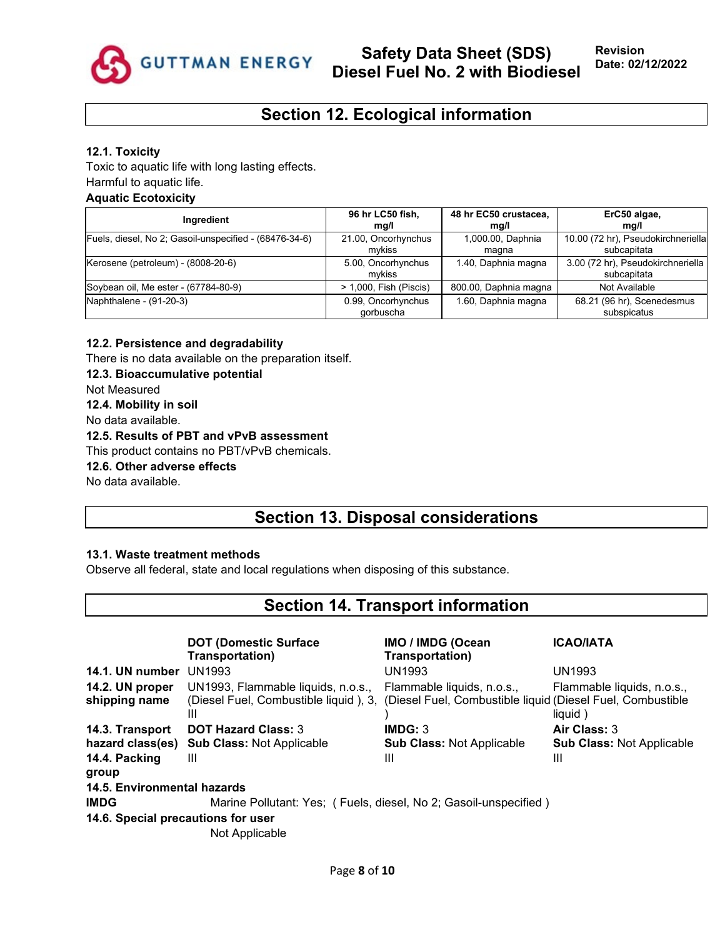

# **Section 12. Ecological information**

#### **12.1. Toxicity**

Toxic to aquatic life with long lasting effects. Harmful to aquatic life.

### **Aquatic Ecotoxicity**

| Ingredient                                             | 96 hr LC50 fish,<br>mq/l        | 48 hr EC50 crustacea,<br>mg/l | ErC50 algae,<br>mg/l                              |
|--------------------------------------------------------|---------------------------------|-------------------------------|---------------------------------------------------|
| Fuels, diesel, No 2; Gasoil-unspecified - (68476-34-6) | 21.00, Oncorhynchus<br>mvkiss   | 1,000.00, Daphnia<br>magna    | 10.00 (72 hr), Pseudokirchneriella<br>subcapitata |
| Kerosene (petroleum) - (8008-20-6)                     | 5.00, Oncorhynchus<br>mvkiss    | 1.40, Daphnia magna           | 3.00 (72 hr), Pseudokirchneriella<br>subcapitata  |
| Soybean oil, Me ester - (67784-80-9)                   | > 1,000, Fish (Piscis)          | 800.00, Daphnia magna         | Not Available                                     |
| Naphthalene - (91-20-3)                                | 0.99, Oncorhynchus<br>gorbuscha | 1.60, Daphnia magna           | 68.21 (96 hr), Scenedesmus<br>subspicatus         |

#### **12.2. Persistence and degradability**

There is no data available on the preparation itself.

#### **12.3. Bioaccumulative potential**

Not Measured

**12.4. Mobility in soil**

No data available.

**12.5. Results of PBT and vPvB assessment**

This product contains no PBT/vPvB chemicals.

**12.6. Other adverse effects**

No data available.

# **Section 13. Disposal considerations**

### **13.1. Waste treatment methods**

Observe all federal, state and local regulations when disposing of this substance.

# **Section 14. Transport information**

|                                    | <b>DOT (Domestic Surface)</b><br>Transportation)                 | <b>IMO / IMDG (Ocean</b><br>Transportation)                | <b>ICAO/IATA</b>                 |
|------------------------------------|------------------------------------------------------------------|------------------------------------------------------------|----------------------------------|
| 14.1. UN number                    | UN1993                                                           | <b>UN1993</b>                                              | <b>UN1993</b>                    |
| 14.2. UN proper                    | UN1993, Flammable liquids, n.o.s.,                               | Flammable liquids, n.o.s.,                                 | Flammable liquids, n.o.s.,       |
| shipping name                      | (Diesel Fuel, Combustible liquid), 3,<br>Ш                       | (Diesel Fuel, Combustible liquid (Diesel Fuel, Combustible | liquid)                          |
| 14.3. Transport                    | <b>DOT Hazard Class: 3</b>                                       | IMDG: 3                                                    | Air Class: 3                     |
| hazard class(es)                   | <b>Sub Class: Not Applicable</b>                                 | <b>Sub Class: Not Applicable</b>                           | <b>Sub Class: Not Applicable</b> |
| 14.4. Packing<br>group             | Ш                                                                | Ш                                                          | Ш                                |
| 14.5. Environmental hazards        |                                                                  |                                                            |                                  |
| <b>IMDG</b>                        | Marine Pollutant: Yes; (Fuels, diesel, No 2; Gasoil-unspecified) |                                                            |                                  |
| 14.6. Special precautions for user |                                                                  |                                                            |                                  |
|                                    | Not Applicable                                                   |                                                            |                                  |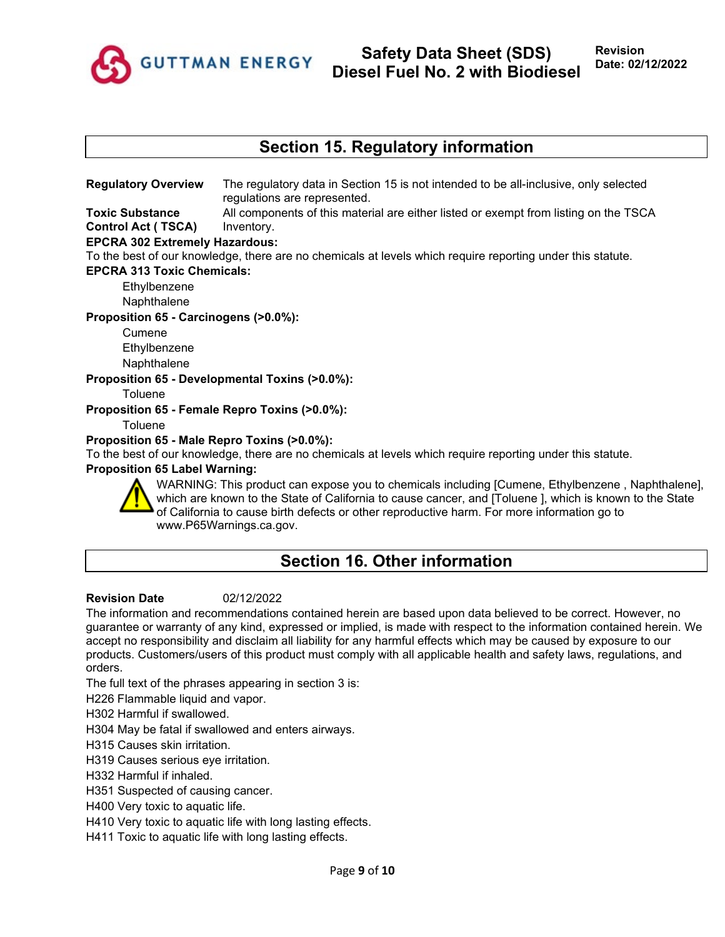

## **Section 15. Regulatory information**

**Regulatory Overview** The regulatory data in Section 15 is not intended to be all-inclusive, only selected regulations are represented.

**Toxic Substance Control Act ( TSCA)** All components of this material are either listed or exempt from listing on the TSCA Inventory.

### **EPCRA 302 Extremely Hazardous:**

To the best of our knowledge, there are no chemicals at levels which require reporting under this statute.

#### **EPCRA 313 Toxic Chemicals:**

**Ethylbenzene** 

Naphthalene

### **Proposition 65 - Carcinogens (>0.0%):**

Cumene Ethylbenzene **Naphthalene** 

### **Proposition 65 - Developmental Toxins (>0.0%):**

**Toluene** 

**Proposition 65 - Female Repro Toxins (>0.0%):**

**Toluene** 

### **Proposition 65 - Male Repro Toxins (>0.0%):**

To the best of our knowledge, there are no chemicals at levels which require reporting under this statute.

#### **Proposition 65 Label Warning:**



WARNING: This product can expose you to chemicals including [Cumene, Ethylbenzene , Naphthalene], which are known to the State of California to cause cancer, and [Toluene ], which is known to the State of California to cause birth defects or other reproductive harm. For more information go to www.P65Warnings.ca.gov.

# **Section 16. Other information**

#### **Revision Date** 02/12/2022

The information and recommendations contained herein are based upon data believed to be correct. However, no guarantee or warranty of any kind, expressed or implied, is made with respect to the information contained herein. We accept no responsibility and disclaim all liability for any harmful effects which may be caused by exposure to our products. Customers/users of this product must comply with all applicable health and safety laws, regulations, and orders.

The full text of the phrases appearing in section 3 is:

H226 Flammable liquid and vapor.

H302 Harmful if swallowed.

H304 May be fatal if swallowed and enters airways.

H315 Causes skin irritation.

H319 Causes serious eye irritation.

H332 Harmful if inhaled.

H351 Suspected of causing cancer.

H400 Very toxic to aquatic life.

H410 Very toxic to aquatic life with long lasting effects.

H411 Toxic to aquatic life with long lasting effects.